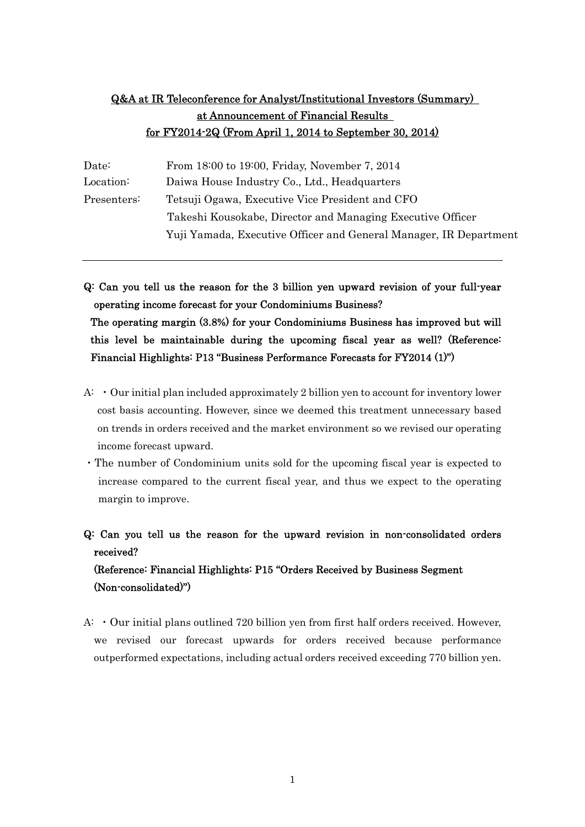# Q&A at IR Teleconference for Analyst/Institutional Investors (Summary) at Announcement of Financial Results for FY2014-2Q (From April 1, 2014 to September 30, 2014)

| Date:       | From 18:00 to 19:00, Friday, November 7, 2014                     |  |
|-------------|-------------------------------------------------------------------|--|
| Location:   | Daiwa House Industry Co., Ltd., Headquarters                      |  |
| Presenters: | Tetsuji Ogawa, Executive Vice President and CFO                   |  |
|             | Takeshi Kousokabe, Director and Managing Executive Officer        |  |
|             | Yuji Yamada, Executive Officer and General Manager, IR Department |  |

Q: Can you tell us the reason for the 3 billion yen upward revision of your full-year operating income forecast for your Condominiums Business? The operating margin (3.8%) for your Condominiums Business has improved but will this level be maintainable during the upcoming fiscal year as well? (Reference: Financial Highlights: P13 "Business Performance Forecasts for FY2014 (1)")

- A: ・Our initial plan included approximately 2 billion yen to account for inventory lower cost basis accounting. However, since we deemed this treatment unnecessary based on trends in orders received and the market environment so we revised our operating income forecast upward.
- ・The number of Condominium units sold for the upcoming fiscal year is expected to increase compared to the current fiscal year, and thus we expect to the operating margin to improve.

Q: Can you tell us the reason for the upward revision in non-consolidated orders received? (Reference: Financial Highlights: P15 "Orders Received by Business Segment (Non-consolidated)")

A: ・Our initial plans outlined 720 billion yen from first half orders received. However, we revised our forecast upwards for orders received because performance outperformed expectations, including actual orders received exceeding 770 billion yen.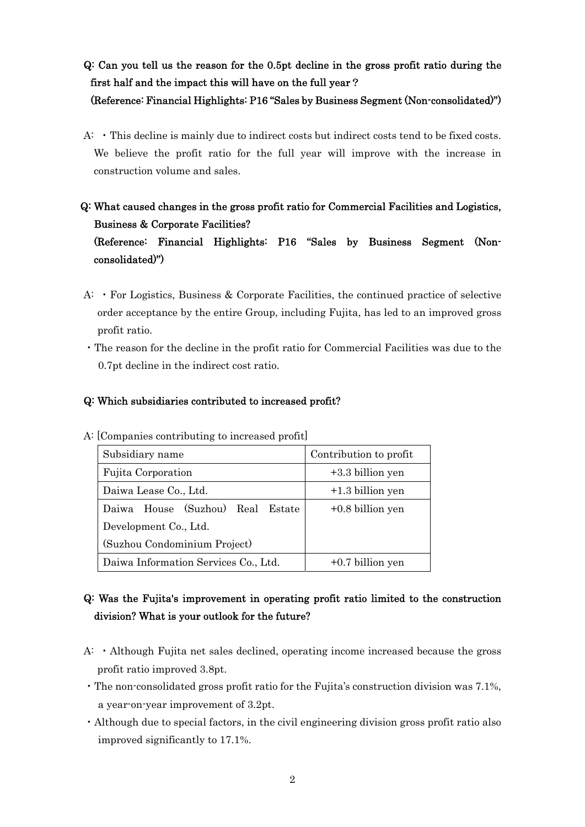# Q: Can you tell us the reason for the 0.5pt decline in the gross profit ratio during the first half and the impact this will have on the full year?

### (Reference: Financial Highlights: P16 "Sales by Business Segment (Non-consolidated)")

- A: ・This decline is mainly due to indirect costs but indirect costs tend to be fixed costs. We believe the profit ratio for the full year will improve with the increase in construction volume and sales.
- Q: What caused changes in the gross profit ratio for Commercial Facilities and Logistics, Business & Corporate Facilities? (Reference: Financial Highlights: P16 "Sales by Business Segment (Nonconsolidated)")
- A: ・For Logistics, Business & Corporate Facilities, the continued practice of selective order acceptance by the entire Group, including Fujita, has led to an improved gross profit ratio.
- ・The reason for the decline in the profit ratio for Commercial Facilities was due to the 0.7pt decline in the indirect cost ratio.

### Q: Which subsidiaries contributed to increased profit?

| Subsidiary name                      | Contribution to profit |  |  |
|--------------------------------------|------------------------|--|--|
| Fujita Corporation                   | $+3.3$ billion yen     |  |  |
| Daiwa Lease Co., Ltd.                | $+1.3$ billion yen     |  |  |
| House (Suzhou) Real Estate<br>Daiwa  | $+0.8$ billion yen     |  |  |
| Development Co., Ltd.                |                        |  |  |
| (Suzhou Condominium Project)         |                        |  |  |
| Daiwa Information Services Co., Ltd. | $+0.7$ billion yen     |  |  |

A: [Companies contributing to increased profit]

# Q: Was the Fujita's improvement in operating profit ratio limited to the construction division? What is your outlook for the future?

- A: ・Although Fujita net sales declined, operating income increased because the gross profit ratio improved 3.8pt.
- ・The non-consolidated gross profit ratio for the Fujita's construction division was 7.1%, a year-on-year improvement of 3.2pt.
- ・Although due to special factors, in the civil engineering division gross profit ratio also improved significantly to 17.1%.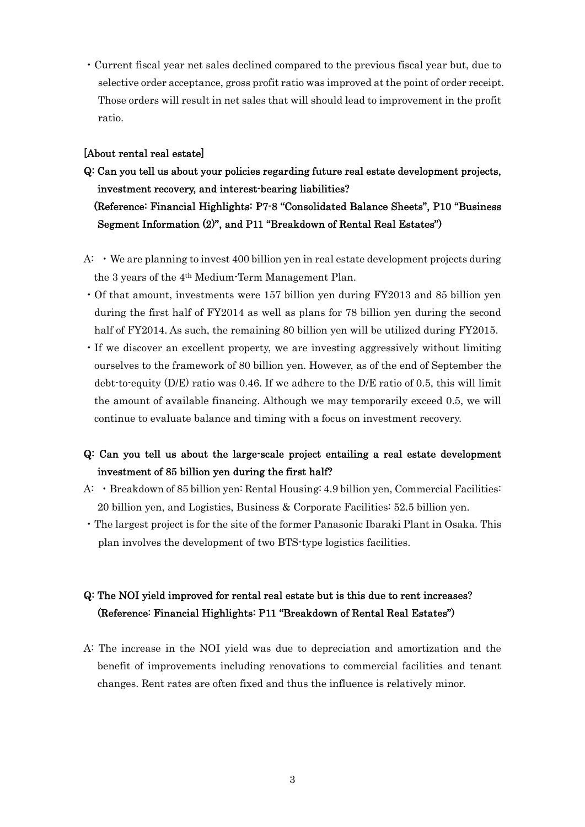・Current fiscal year net sales declined compared to the previous fiscal year but, due to selective order acceptance, gross profit ratio was improved at the point of order receipt. Those orders will result in net sales that will should lead to improvement in the profit ratio.

#### [About rental real estate]

Q: Can you tell us about your policies regarding future real estate development projects, investment recovery, and interest-bearing liabilities? (Reference: Financial Highlights: P7-8 "Consolidated Balance Sheets", P10 "Business Segment Information (2)", and P11 "Breakdown of Rental Real Estates")

- $A: \cdot$  We are planning to invest 400 billion yen in real estate development projects during the 3 years of the 4th Medium-Term Management Plan.
- ・Of that amount, investments were 157 billion yen during FY2013 and 85 billion yen during the first half of FY2014 as well as plans for 78 billion yen during the second half of FY2014. As such, the remaining 80 billion yen will be utilized during FY2015.
- ・If we discover an excellent property, we are investing aggressively without limiting ourselves to the framework of 80 billion yen. However, as of the end of September the debt-to-equity (D/E) ratio was 0.46. If we adhere to the D/E ratio of 0.5, this will limit the amount of available financing. Although we may temporarily exceed 0.5, we will continue to evaluate balance and timing with a focus on investment recovery.

## Q: Can you tell us about the large-scale project entailing a real estate development investment of 85 billion yen during the first half?

- A: ・Breakdown of 85 billion yen: Rental Housing: 4.9 billion yen, Commercial Facilities: 20 billion yen, and Logistics, Business & Corporate Facilities: 52.5 billion yen.
- ・The largest project is for the site of the former Panasonic Ibaraki Plant in Osaka. This plan involves the development of two BTS-type logistics facilities.

## Q: The NOI yield improved for rental real estate but is this due to rent increases? (Reference: Financial Highlights: P11 "Breakdown of Rental Real Estates")

A: The increase in the NOI yield was due to depreciation and amortization and the benefit of improvements including renovations to commercial facilities and tenant changes. Rent rates are often fixed and thus the influence is relatively minor.